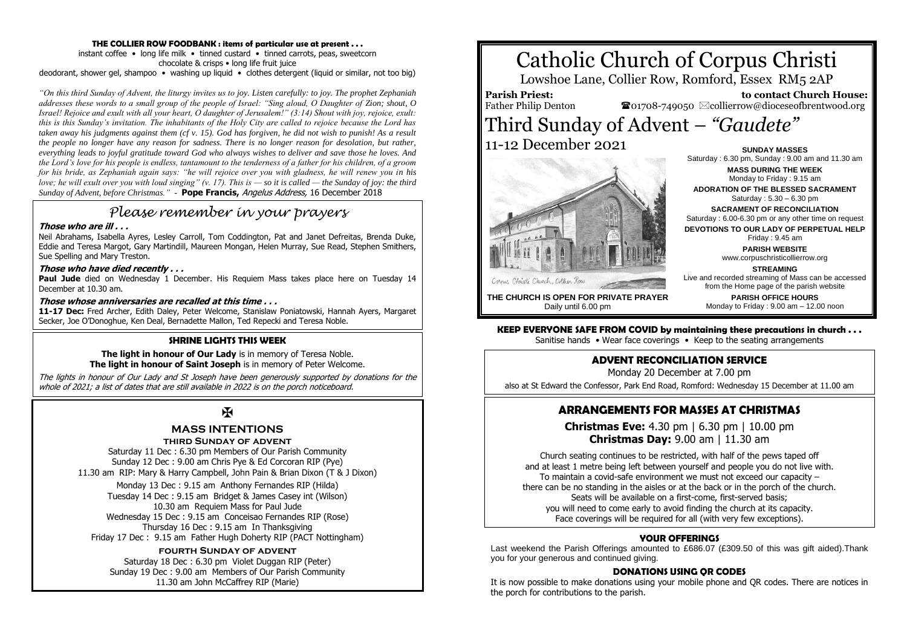#### **THE COLLIER ROW FOODBANK : items of particular use at present . . .**

instant coffee • long life milk • tinned custard • tinned carrots, peas, sweetcorn chocolate & crisps • long life fruit juice deodorant, shower gel, shampoo • washing up liquid • clothes detergent (liquid or similar, not too big)

*"On this third Sunday of Advent, the liturgy invites us to joy. Listen carefully: to joy. The prophet Zephaniah addresses these words to a small group of the people of Israel: "Sing aloud, O Daughter of Zion; shout, O Israel! Rejoice and exult with all your heart, O daughter of Jerusalem!" (3:14) Shout with joy, rejoice, exult: this is this Sunday's invitation. The inhabitants of the Holy City are called to rejoice because the Lord has taken away his judgments against them (cf v. 15). God has forgiven, he did not wish to punish! As a result the people no longer have any reason for sadness. There is no longer reason for desolation, but rather, everything leads to joyful gratitude toward God who always wishes to deliver and save those he loves. And the Lord's love for his people is endless, tantamount to the tenderness of a father for his children, of a groom for his bride, as Zephaniah again says: "he will rejoice over you with gladness, he will renew you in his love; he will exult over you with loud singing" (v. 17). This is — so it is called — the Sunday of joy: the third Sunday of Advent, before Christmas."* - **Pope Francis,** Angelus Address, 16 December 2018

## *Please remember in your prayers*

#### **Those who are ill . . .**

Neil Abrahams, Isabella Ayres, Lesley Carroll, Tom Coddington, Pat and Janet Defreitas, Brenda Duke, Eddie and Teresa Margot, Gary Martindill, Maureen Mongan, Helen Murray, Sue Read, Stephen Smithers, Sue Spelling and Mary Treston.

#### **Those who have died recently . . .**

Paul Jude died on Wednesday 1 December. His Requiem Mass takes place here on Tuesday 14 December at 10.30 am.

#### **Those whose anniversaries are recalled at this time . . .**

**11-17 Dec:** Fred Archer, Edith Daley, Peter Welcome, Stanislaw Poniatowski, Hannah Ayers, Margaret Secker, Joe O'Donoghue, Ken Deal, Bernadette Mallon, Ted Repecki and Teresa Noble.

#### **SHRINE LIGHTS THIS WEEK**

**The light in honour of Our Lady** is in memory of Teresa Noble. **The light in honour of Saint Joseph** is in memory of Peter Welcome.

The lights in honour of Our Lady and St Joseph have been generously supported by donations for the whole of 2021; a list of dates that are still available in 2022 is on the porch noticeboard.

# $\overline{\mathbf{X}}$

## **MASS INTENTIONS**

#### **third Sunday of advent**

Saturday 11 Dec : 6.30 pm Members of Our Parish Community Sunday 12 Dec : 9.00 am Chris Pye & Ed Corcoran RIP (Pye) 11.30 am RIP: Mary & Harry Campbell, John Pain & Brian Dixon (T & J Dixon)

Monday 13 Dec : 9.15 am Anthony Fernandes RIP (Hilda) Tuesday 14 Dec : 9.15 am Bridget & James Casey int (Wilson) 10.30 am Requiem Mass for Paul Jude Wednesday 15 Dec : 9.15 am Conceisao Fernandes RIP (Rose) Thursday 16 Dec : 9.15 am In Thanksgiving Friday 17 Dec : 9.15 am Father Hugh Doherty RIP (PACT Nottingham)

#### **fourth Sunday of advent**

Saturday 18 Dec : 6.30 pm Violet Duggan RIP (Peter) Sunday 19 Dec : 9.00 am Members of Our Parish Community 11.30 am John McCaffrey RIP (Marie)

# Catholic Church of Corpus Christi

Lowshoe Lane, Collier Row, Romford, Essex RM5 2AP

**Parish Priest:** Father Philip Denton

 **to contact Church House:**  $\bullet$ 01708-749050  $\boxtimes$ collierrow@dioceseofbrentwood.org

## Third Sunday of Advent – *"Gaudete"* 11-12 December 2021 **SUNDAY MASSES**



Saturday : 6.30 pm, Sunday : 9.00 am and 11.30 am **MASS DURING THE WEEK** Monday to Friday : 9.15 am **ADORATION OF THE BLESSED SACRAMENT** Saturday : 5.30 – 6.30 pm **SACRAMENT OF RECONCILIATION** Saturday : 6.00-6.30 pm or any other time on request **DEVOTIONS TO OUR LADY OF PERPETUAL HELP** Friday : 9.45 am **PARISH WEBSITE** www.corpuschristicollierrow.org **STREAMING** Live and recorded streaming of Mass can be accessed

**THE CHURCH IS OPEN FOR PRIVATE PRAYER** Daily until 6.00 pm

**PARISH OFFICE HOURS** Monday to Friday : 9.00 am – 12.00 noon

from the Home page of the parish website

**KEEP EVERYONE SAFE FROM COVID by maintaining these precautions in church . . .** Sanitise hands • Wear face coverings • Keep to the seating arrangements

## **ADVENT RECONCILIATION SERVICE**

Monday 20 December at 7.00 pm

also at St Edward the Confessor, Park End Road, Romford: Wednesday 15 December at 11.00 am

## **ARRANGEMENTS FOR MASSES AT CHRISTMAS**

**Christmas Eve:** 4.30 pm | 6.30 pm | 10.00 pm **Christmas Day:** 9.00 am | 11.30 am

Church seating continues to be restricted, with half of the pews taped off and at least 1 metre being left between yourself and people you do not live with. To maintain a covid-safe environment we must not exceed our capacity – there can be no standing in the aisles or at the back or in the porch of the church. Seats will be available on a first-come, first-served basis; you will need to come early to avoid finding the church at its capacity. Face coverings will be required for all (with very few exceptions).

#### **YOUR OFFERINGS**

Last weekend the Parish Offerings amounted to £686.07 (£309.50 of this was gift aided). Thank you for your generous and continued giving.

#### **DONATIONS USING QR CODES**

It is now possible to make donations using your mobile phone and QR codes. There are notices in the porch for contributions to the parish.